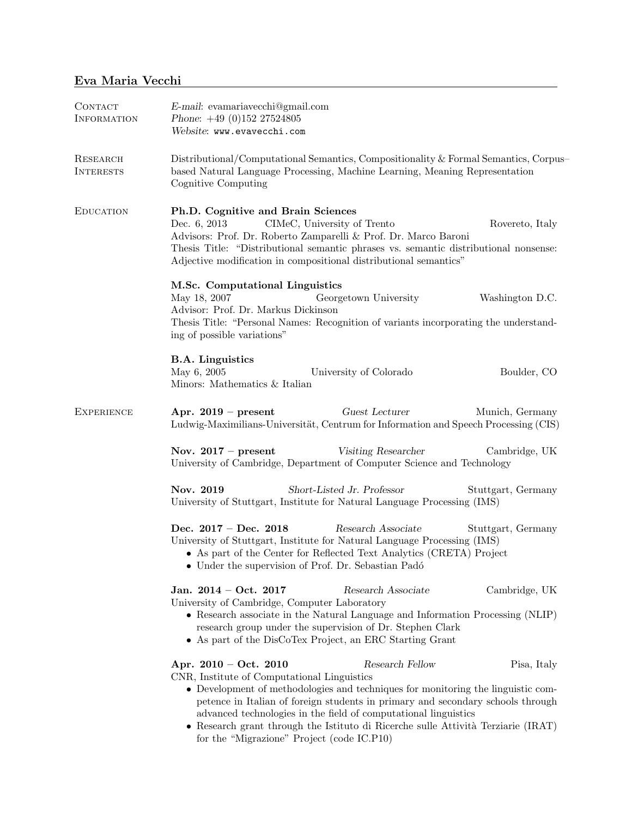| CONTACT<br><b>INFORMATION</b>       | E-mail: evamariavecchi@gmail.com<br>Phone: $+49$ (0)152 27524805<br>Website: www.evavecchi.com                                                                                                                                                                                                                                                                                                                                                                                        |  |  |
|-------------------------------------|---------------------------------------------------------------------------------------------------------------------------------------------------------------------------------------------------------------------------------------------------------------------------------------------------------------------------------------------------------------------------------------------------------------------------------------------------------------------------------------|--|--|
| <b>RESEARCH</b><br><b>INTERESTS</b> | Distributional/Computational Semantics, Compositionality & Formal Semantics, Corpus-<br>based Natural Language Processing, Machine Learning, Meaning Representation<br>Cognitive Computing                                                                                                                                                                                                                                                                                            |  |  |
| <b>EDUCATION</b>                    | Ph.D. Cognitive and Brain Sciences<br>Dec. 6, 2013<br>CIMeC, University of Trento<br>Rovereto, Italy<br>Advisors: Prof. Dr. Roberto Zamparelli & Prof. Dr. Marco Baroni<br>Thesis Title: "Distributional semantic phrases vs. semantic distributional nonsense:<br>Adjective modification in compositional distributional semantics"                                                                                                                                                  |  |  |
|                                     | M.Sc. Computational Linguistics<br>May 18, 2007<br>Georgetown University<br>Washington D.C.<br>Advisor: Prof. Dr. Markus Dickinson<br>Thesis Title: "Personal Names: Recognition of variants incorporating the understand-<br>ing of possible variations"                                                                                                                                                                                                                             |  |  |
|                                     | <b>B.A.</b> Linguistics<br>May 6, 2005<br>University of Colorado<br>Boulder, CO<br>Minors: Mathematics & Italian                                                                                                                                                                                                                                                                                                                                                                      |  |  |
| <b>EXPERIENCE</b>                   | Guest Lecturer<br>Apr. $2019$ – present<br>Munich, Germany<br>Ludwig-Maximilians-Universität, Centrum for Information and Speech Processing (CIS)                                                                                                                                                                                                                                                                                                                                     |  |  |
|                                     | Nov. $2017$ – present<br>Visiting Researcher<br>Cambridge, UK<br>University of Cambridge, Department of Computer Science and Technology                                                                                                                                                                                                                                                                                                                                               |  |  |
|                                     | Nov. 2019<br>Short-Listed Jr. Professor<br>Stuttgart, Germany<br>University of Stuttgart, Institute for Natural Language Processing (IMS)                                                                                                                                                                                                                                                                                                                                             |  |  |
|                                     | Dec. $2017 - Dec. 2018$<br>Research Associate<br>Stuttgart, Germany<br>University of Stuttgart, Institute for Natural Language Processing (IMS)<br>• As part of the Center for Reflected Text Analytics (CRETA) Project<br>• Under the supervision of Prof. Dr. Sebastian Padó                                                                                                                                                                                                        |  |  |
|                                     | Jan. $2014 - Oct. 2017$<br>Research Associate<br>Cambridge, UK<br>University of Cambridge, Computer Laboratory<br>$\bullet\,$ Research associate in the Natural Language and Information Processing (NLIP)<br>research group under the supervision of Dr. Stephen Clark<br>• As part of the DisCoTex Project, an ERC Starting Grant                                                                                                                                                   |  |  |
|                                     | Research Fellow<br>Apr. $2010 - Oct. 2010$<br>Pisa, Italy<br>CNR, Institute of Computational Linguistics<br>• Development of methodologies and techniques for monitoring the linguistic com-<br>petence in Italian of foreign students in primary and secondary schools through<br>advanced technologies in the field of computational linguistics<br>• Research grant through the Istituto di Ricerche sulle Attività Terziarie (IRAT)<br>for the "Migrazione" Project (code IC.P10) |  |  |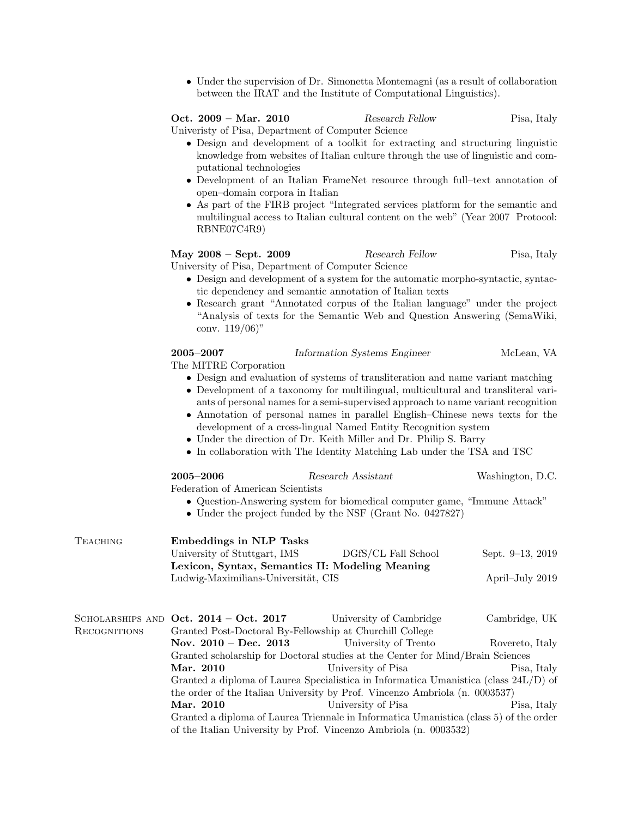• Under the supervision of Dr. Simonetta Montemagni (as a result of collaboration between the IRAT and the Institute of Computational Linguistics).

## Oct. 2009 – Mar. 2010 Research Fellow Pisa, Italy

Univeristy of Pisa, Department of Computer Science

- Design and development of a toolkit for extracting and structuring linguistic knowledge from websites of Italian culture through the use of linguistic and computational technologies
- Development of an Italian FrameNet resource through full–text annotation of open–domain corpora in Italian
- As part of the FIRB project "Integrated services platform for the semantic and multilingual access to Italian cultural content on the web" (Year 2007 Protocol: RBNE07C4R9)

## May 2008 – Sept. 2009 Research Fellow Pisa, Italy

University of Pisa, Department of Computer Science

- Design and development of a system for the automatic morpho-syntactic, syntactic dependency and semantic annotation of Italian texts
- Research grant "Annotated corpus of the Italian language" under the project "Analysis of texts for the Semantic Web and Question Answering (SemaWiki, conv. 119/06)"

| $2005 - 2007$         | Information Systems Engineer | McLean. VA |
|-----------------------|------------------------------|------------|
| The MITRE Corporation |                              |            |

The MITRE Corporation

- Design and evaluation of systems of transliteration and name variant matching
- Development of a taxonomy for multilingual, multicultural and transliteral variants of personal names for a semi-supervised approach to name variant recognition
- Annotation of personal names in parallel English–Chinese news texts for the development of a cross-lingual Named Entity Recognition system
- Under the direction of Dr. Keith Miller and Dr. Philip S. Barry
- In collaboration with The Identity Matching Lab under the TSA and TSC

|              | $2005 - 2006$                                                                           | Research Assistant                                                                     | Washington, D.C.      |  |  |
|--------------|-----------------------------------------------------------------------------------------|----------------------------------------------------------------------------------------|-----------------------|--|--|
|              | Federation of American Scientists                                                       |                                                                                        |                       |  |  |
|              |                                                                                         | • Question-Answering system for biomedical computer game, "Immune Attack"              |                       |  |  |
|              |                                                                                         | • Under the project funded by the NSF (Grant No. 0427827)                              |                       |  |  |
| TEACHING     | <b>Embeddings in NLP Tasks</b>                                                          |                                                                                        |                       |  |  |
|              | University of Stuttgart, IMS                                                            | DGfS/CL Fall School                                                                    | Sept. $9-13$ , $2019$ |  |  |
|              | Lexicon, Syntax, Semantics II: Modeling Meaning                                         |                                                                                        |                       |  |  |
|              | Ludwig-Maximilians-Universität, CIS                                                     |                                                                                        | April–July 2019       |  |  |
|              |                                                                                         | SCHOLARSHIPS AND Oct. $2014 - \text{Oct. } 2017$ University of Cambridge               | Cambridge, UK         |  |  |
| RECOGNITIONS | Granted Post-Doctoral By-Fellowship at Churchill College                                |                                                                                        |                       |  |  |
|              |                                                                                         | Nov. $2010 - Dec. 2013$ University of Trento                                           | Rovereto, Italy       |  |  |
|              | Granted scholarship for Doctoral studies at the Center for Mind/Brain Sciences          |                                                                                        |                       |  |  |
|              | Mar. 2010                                                                               | University of Pisa                                                                     | Pisa, Italy           |  |  |
|              | Granted a diploma of Laurea Specialistica in Informatica Umanistica (class $24L/D$ ) of |                                                                                        |                       |  |  |
|              |                                                                                         | the order of the Italian University by Prof. Vincenzo Ambriola (n. 0003537)            |                       |  |  |
|              | Mar. 2010                                                                               | University of Pisa                                                                     | Pisa, Italy           |  |  |
|              |                                                                                         | Granted a diploma of Laurea Triennale in Informatica Umanistica (class 5) of the order |                       |  |  |
|              |                                                                                         | of the Italian University by Prof. Vincenzo Ambriola (n. 0003532)                      |                       |  |  |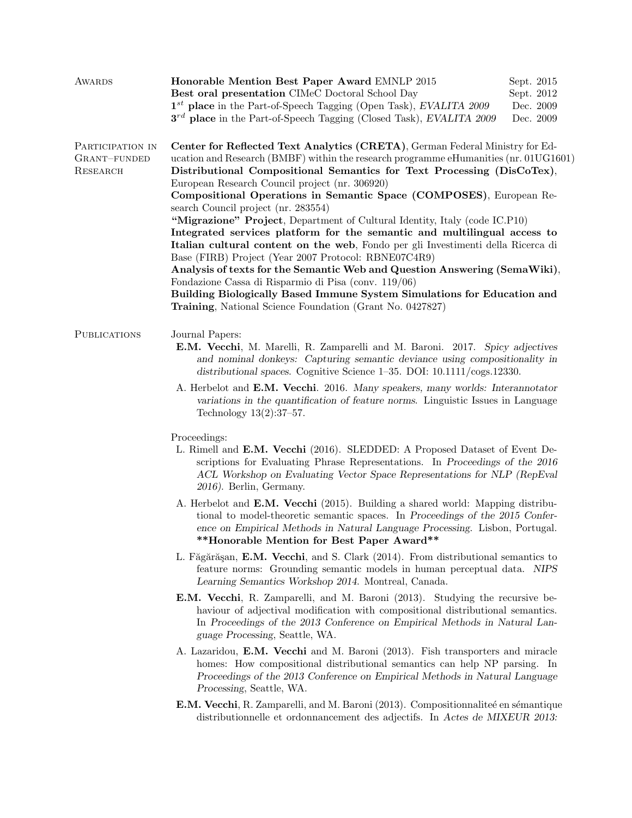| AWARDS                                       | Honorable Mention Best Paper Award EMNLP 2015<br>Best oral presentation CIMeC Doctoral School Day<br>$1^{st}$ place in the Part-of-Speech Tagging (Open Task), EVALITA 2009<br>$3^{rd}$ place in the Part-of-Speech Tagging (Closed Task), EVALITA 2009                                                                                                  | Sept. 2015<br>Sept. 2012<br>Dec. 2009<br>Dec. 2009 |  |  |
|----------------------------------------------|----------------------------------------------------------------------------------------------------------------------------------------------------------------------------------------------------------------------------------------------------------------------------------------------------------------------------------------------------------|----------------------------------------------------|--|--|
| PARTICIPATION IN<br>GRANT-FUNDED<br>RESEARCH | Center for Reflected Text Analytics (CRETA), German Federal Ministry for Ed-<br>ucation and Research (BMBF) within the research programme eHumanities (nr. 01UG1601)<br>Distributional Compositional Semantics for Text Processing (DisCoTex),<br>European Research Council project (nr. 306920)                                                         |                                                    |  |  |
|                                              | Compositional Operations in Semantic Space (COMPOSES), European Re-<br>search Council project (nr. 283554)<br>"Migrazione" Project, Department of Cultural Identity, Italy (code IC.P10)<br>Integrated services platform for the semantic and multilingual access to<br>Italian cultural content on the web, Fondo per gli Investimenti della Ricerca di |                                                    |  |  |
|                                              | Base (FIRB) Project (Year 2007 Protocol: RBNE07C4R9)<br>Analysis of texts for the Semantic Web and Question Answering (SemaWiki),<br>Fondazione Cassa di Risparmio di Pisa (conv. 119/06)<br>Building Biologically Based Immune System Simulations for Education and<br>Training, National Science Foundation (Grant No. 0427827)                        |                                                    |  |  |
| <b>PUBLICATIONS</b>                          | Journal Papers:<br>E.M. Vecchi, M. Marelli, R. Zamparelli and M. Baroni. 2017. Spicy adjectives<br>and nominal donkeys: Capturing semantic deviance using compositionality in<br>distributional spaces. Cognitive Science $1-35$ . DOI: $10.1111/\text{cogs}.12330$ .                                                                                    |                                                    |  |  |
|                                              | A. Herbelot and E.M. Vecchi. 2016. Many speakers, many worlds: Interannotator<br>variations in the quantification of feature norms. Linguistic Issues in Language<br>Technology $13(2):37-57$ .                                                                                                                                                          |                                                    |  |  |
|                                              | Proceedings:<br>L. Rimell and E.M. Vecchi (2016). SLEDDED: A Proposed Dataset of Event De-<br>scriptions for Evaluating Phrase Representations. In Proceedings of the 2016<br>ACL Workshop on Evaluating Vector Space Representations for NLP (RepEval<br>2016). Berlin, Germany.                                                                        |                                                    |  |  |
|                                              | A. Herbelot and E.M. Vecchi (2015). Building a shared world: Mapping distribu-<br>tional to model-theoretic semantic spaces. In Proceedings of the 2015 Confer-<br>ence on Empirical Methods in Natural Language Processing. Lisbon, Portugal.<br>**Honorable Mention for Best Paper Award**                                                             |                                                    |  |  |
|                                              | L. Făgărășan, E.M. Vecchi, and S. Clark (2014). From distributional semantics to<br>feature norms: Grounding semantic models in human perceptual data. NIPS<br>Learning Semantics Workshop 2014. Montreal, Canada.                                                                                                                                       |                                                    |  |  |
|                                              | <b>E.M. Vecchi</b> , R. Zamparelli, and M. Baroni (2013). Studying the recursive be-<br>haviour of adjectival modification with compositional distributional semantics.<br>In Proceedings of the 2013 Conference on Empirical Methods in Natural Lan-<br>guage Processing, Seattle, WA.                                                                  |                                                    |  |  |
|                                              | A. Lazaridou, E.M. Vecchi and M. Baroni (2013). Fish transporters and miracle<br>homes: How compositional distributional semantics can help NP parsing. In<br>Proceedings of the 2013 Conference on Empirical Methods in Natural Language<br>Processing, Seattle, WA.                                                                                    |                                                    |  |  |
|                                              | <b>E.M. Vecchi</b> , R. Zamparelli, and M. Baroni (2013). Compositionnaliteé en sémantique<br>distributionnelle et ordonnancement des adjectifs. In Actes de MIXEUR 2013:                                                                                                                                                                                |                                                    |  |  |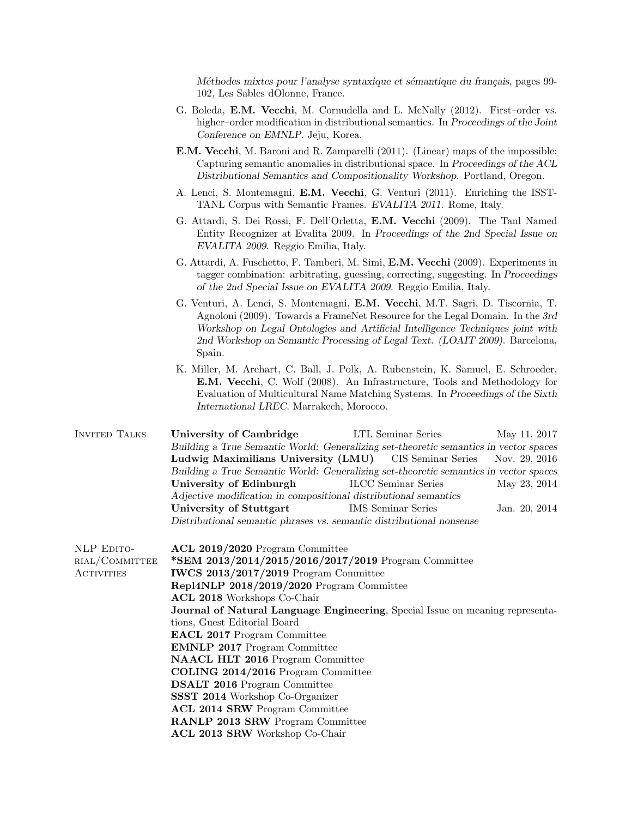Méthodes mixtes pour l'analyse syntaxique et sémantique du français, pages 99-102, Les Sables dOlonne, France.

- G. Boleda, E.M. Vecchi, M. Cornudella and L. McNally (2012). First–order vs. higher–order modification in distributional semantics. In Proceedings of the Joint Conference on EMNLP. Jeju, Korea.
- E.M. Vecchi, M. Baroni and R. Zamparelli (2011). (Linear) maps of the impossible: Capturing semantic anomalies in distributional space. In Proceedings of the ACL Distributional Semantics and Compositionality Workshop. Portland, Oregon.
- A. Lenci, S. Montemagni, E.M. Vecchi, G. Venturi (2011). Enriching the ISST-TANL Corpus with Semantic Frames. EVALITA 2011. Rome, Italy.
- G. Attardi, S. Dei Rossi, F. Dell'Orletta, E.M. Vecchi (2009). The Tanl Named Entity Recognizer at Evalita 2009. In Proceedings of the 2nd Special Issue on EVALITA 2009. Reggio Emilia, Italy.
- G. Attardi, A. Fuschetto, F. Tamberi, M. Simi, E.M. Vecchi (2009). Experiments in tagger combination: arbitrating, guessing, correcting, suggesting. In Proceedings of the 2nd Special Issue on EVALITA 2009. Reggio Emilia, Italy.
- G. Venturi, A. Lenci, S. Montemagni, E.M. Vecchi, M.T. Sagri, D. Tiscornia, T. Agnoloni (2009). Towards a FrameNet Resource for the Legal Domain. In the 3rd Workshop on Legal Ontologies and Artificial Intelligence Techniques joint with 2nd Workshop on Semantic Processing of Legal Text. (LOAIT 2009). Barcelona, Spain.
- K. Miller, M. Arehart, C. Ball, J. Polk, A. Rubenstein, K. Samuel, E. Schroeder, E.M. Vecchi, C. Wolf (2008). An Infrastructure, Tools and Methodology for Evaluation of Multicultural Name Matching Systems. In Proceedings of the Sixth International LREC. Marrakech, Morocco.
- Invited Talks University of Cambridge LTL Seminar Series May 11, 2017 Building a True Semantic World: Generalizing set-theoretic semantics in vector spaces Ludwig Maximilians University (LMU) CIS Seminar Series Nov. 29, 2016 Building a True Semantic World: Generalizing set-theoretic semantics in vector spaces University of Edinburgh ILCC Seminar Series May 23, 2014 Adjective modification in compositional distributional semantics University of Stuttgart IMS Seminar Series Jan. 20, 2014 Distributional semantic phrases vs. semantic distributional nonsense
- NLP EDITOrial/Committee **ACTIVITIES** ACL 2019/2020 Program Committee \*SEM 2013/2014/2015/2016/2017/2019 Program Committee IWCS 2013/2017/2019 Program Committee Repl4NLP 2018/2019/2020 Program Committee ACL 2018 Workshops Co-Chair Journal of Natural Language Engineering, Special Issue on meaning representations, Guest Editorial Board EACL 2017 Program Committee EMNLP 2017 Program Committee NAACL HLT 2016 Program Committee COLING 2014/2016 Program Committee DSALT 2016 Program Committee SSST 2014 Workshop Co-Organizer ACL 2014 SRW Program Committee RANLP 2013 SRW Program Committee ACL 2013 SRW Workshop Co-Chair